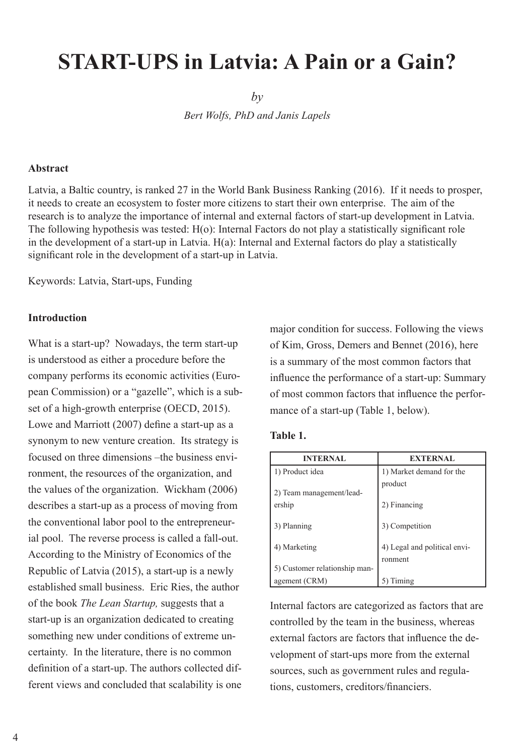# **START-UPS in Latvia: A Pain or a Gain?**

*by*

*Bert Wolfs, PhD and Janis Lapels*

#### **Abstract**

Latvia, a Baltic country, is ranked 27 in the World Bank Business Ranking (2016). If it needs to prosper, it needs to create an ecosystem to foster more citizens to start their own enterprise. The aim of the research is to analyze the importance of internal and external factors of start-up development in Latvia. The following hypothesis was tested: H(o): Internal Factors do not play a statistically significant role in the development of a start-up in Latvia. H(a): Internal and External factors do play a statistically significant role in the development of a start-up in Latvia.

Keywords: Latvia, Start-ups, Funding

## **Introduction**

What is a start-up? Nowadays, the term start-up is understood as either a procedure before the company performs its economic activities (European Commission) or a "gazelle", which is a subset of a high-growth enterprise (OECD, 2015). Lowe and Marriott (2007) define a start-up as a synonym to new venture creation. Its strategy is focused on three dimensions –the business environment, the resources of the organization, and the values of the organization. Wickham (2006) describes a start-up as a process of moving from the conventional labor pool to the entrepreneurial pool. The reverse process is called a fall-out. According to the Ministry of Economics of the Republic of Latvia (2015), a start-up is a newly established small business. Eric Ries, the author of the book *The Lean Startup,* suggests that a start-up is an organization dedicated to creating something new under conditions of extreme uncertainty. In the literature, there is no common definition of a start-up. The authors collected different views and concluded that scalability is one

major condition for success. Following the views of Kim, Gross, Demers and Bennet (2016), here is a summary of the most common factors that influence the performance of a start-up: Summary of most common factors that influence the performance of a start-up (Table 1, below).

#### **Table 1.**

| <b>INTERNAL</b>               | <b>EXTERNAL</b>                         |
|-------------------------------|-----------------------------------------|
| 1) Product idea               | 1) Market demand for the                |
| 2) Team management/lead-      | product                                 |
| ership                        | 2) Financing                            |
| 3) Planning                   | 3) Competition                          |
| 4) Marketing                  | 4) Legal and political envi-<br>ronment |
| 5) Customer relationship man- |                                         |
| agement (CRM)                 | iming                                   |

Internal factors are categorized as factors that are controlled by the team in the business, whereas external factors are factors that influence the development of start-ups more from the external sources, such as government rules and regulations, customers, creditors/financiers.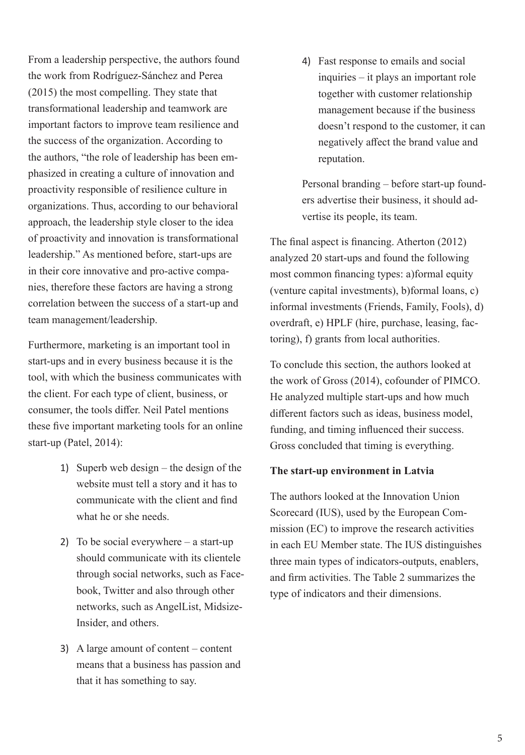From a leadership perspective, the authors found the work from Rodríguez-Sánchez and Perea (2015) the most compelling. They state that transformational leadership and teamwork are important factors to improve team resilience and the success of the organization. According to the authors, "the role of leadership has been emphasized in creating a culture of innovation and proactivity responsible of resilience culture in organizations. Thus, according to our behavioral approach, the leadership style closer to the idea of proactivity and innovation is transformational leadership." As mentioned before, start-ups are in their core innovative and pro-active companies, therefore these factors are having a strong correlation between the success of a start-up and team management/leadership.

Furthermore, marketing is an important tool in start-ups and in every business because it is the tool, with which the business communicates with the client. For each type of client, business, or consumer, the tools differ. Neil Patel mentions these five important marketing tools for an online start-up (Patel, 2014):

- 1) Superb web design the design of the website must tell a story and it has to communicate with the client and find what he or she needs.
- 2) To be social everywhere a start-up should communicate with its clientele through social networks, such as Facebook, Twitter and also through other networks, such as AngelList, Midsize-Insider, and others.
- 3) A large amount of content content means that a business has passion and that it has something to say.

4) Fast response to emails and social inquiries – it plays an important role together with customer relationship management because if the business doesn't respond to the customer, it can negatively affect the brand value and reputation.

Personal branding – before start-up founders advertise their business, it should advertise its people, its team.

The final aspect is financing. Atherton (2012) analyzed 20 start-ups and found the following most common financing types: a)formal equity (venture capital investments), b)formal loans, c) informal investments (Friends, Family, Fools), d) overdraft, e) HPLF (hire, purchase, leasing, factoring), f) grants from local authorities.

To conclude this section, the authors looked at the work of Gross (2014), cofounder of PIMCO. He analyzed multiple start-ups and how much different factors such as ideas, business model, funding, and timing influenced their success. Gross concluded that timing is everything.

## **The start-up environment in Latvia**

The authors looked at the Innovation Union Scorecard (IUS), used by the European Commission (EC) to improve the research activities in each EU Member state. The IUS distinguishes three main types of indicators-outputs, enablers, and firm activities. The Table 2 summarizes the type of indicators and their dimensions.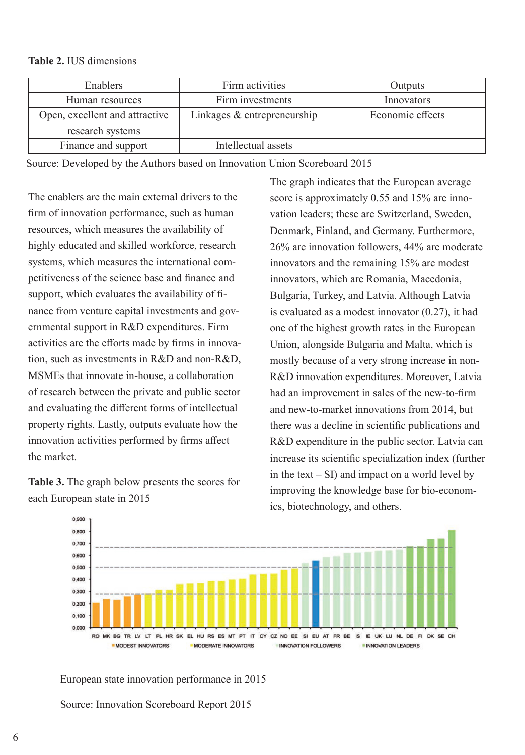## **Table 2.** IUS dimensions

| Enablers                       | Firm activities             | Outputs          |
|--------------------------------|-----------------------------|------------------|
| Human resources                | Firm investments            | Innovators       |
| Open, excellent and attractive | Linkages & entrepreneurship | Economic effects |
| research systems               |                             |                  |
| Finance and support            | Intellectual assets         |                  |

Source: Developed by the Authors based on Innovation Union Scoreboard 2015

The enablers are the main external drivers to the firm of innovation performance, such as human resources, which measures the availability of highly educated and skilled workforce, research systems, which measures the international competitiveness of the science base and finance and support, which evaluates the availability of finance from venture capital investments and governmental support in R&D expenditures. Firm activities are the efforts made by firms in innovation, such as investments in R&D and non-R&D, MSMEs that innovate in-house, a collaboration of research between the private and public sector and evaluating the different forms of intellectual property rights. Lastly, outputs evaluate how the innovation activities performed by firms affect the market.

**Table 3.** The graph below presents the scores for each European state in 2015

The graph indicates that the European average score is approximately 0.55 and 15% are innovation leaders; these are Switzerland, Sweden, Denmark, Finland, and Germany. Furthermore, 26% are innovation followers, 44% are moderate innovators and the remaining 15% are modest innovators, which are Romania, Macedonia, Bulgaria, Turkey, and Latvia. Although Latvia is evaluated as a modest innovator (0.27), it had one of the highest growth rates in the European Union, alongside Bulgaria and Malta, which is mostly because of a very strong increase in non-R&D innovation expenditures. Moreover, Latvia had an improvement in sales of the new-to-firm and new-to-market innovations from 2014, but there was a decline in scientific publications and R&D expenditure in the public sector. Latvia can increase its scientific specialization index (further in the text  $- SI$ ) and impact on a world level by improving the knowledge base for bio-economics, biotechnology, and others.



European state innovation performance in 2015

Source: Innovation Scoreboard Report 2015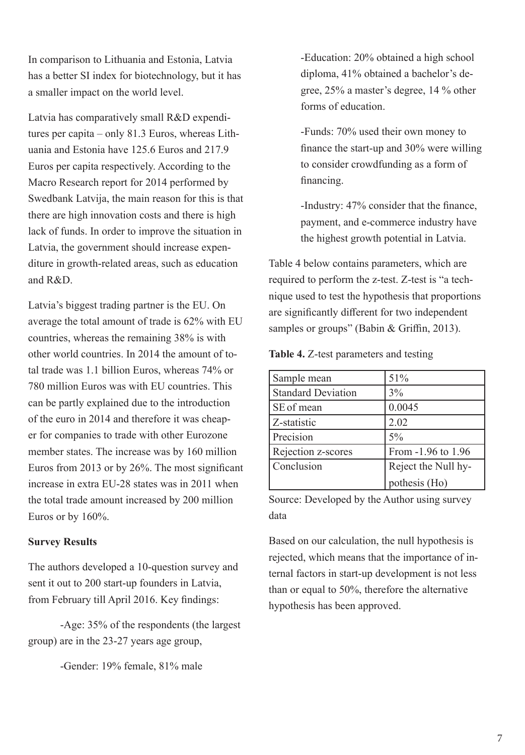In comparison to Lithuania and Estonia, Latvia has a better SI index for biotechnology, but it has a smaller impact on the world level.

Latvia has comparatively small R&D expenditures per capita – only 81.3 Euros, whereas Lithuania and Estonia have 125.6 Euros and 217.9 Euros per capita respectively. According to the Macro Research report for 2014 performed by Swedbank Latvija, the main reason for this is that there are high innovation costs and there is high lack of funds. In order to improve the situation in Latvia, the government should increase expenditure in growth-related areas, such as education and R&D.

Latvia's biggest trading partner is the EU. On average the total amount of trade is 62% with EU countries, whereas the remaining 38% is with other world countries. In 2014 the amount of total trade was 1.1 billion Euros, whereas 74% or 780 million Euros was with EU countries. This can be partly explained due to the introduction of the euro in 2014 and therefore it was cheaper for companies to trade with other Eurozone member states. The increase was by 160 million Euros from 2013 or by 26%. The most significant increase in extra EU-28 states was in 2011 when the total trade amount increased by 200 million Euros or by 160%.

## **Survey Results**

The authors developed a 10-question survey and sent it out to 200 start-up founders in Latvia, from February till April 2016. Key findings:

-Age: 35% of the respondents (the largest group) are in the 23-27 years age group,

-Gender: 19% female, 81% male

-Education: 20% obtained a high school diploma, 41% obtained a bachelor's degree, 25% a master's degree, 14 % other forms of education.

-Funds: 70% used their own money to finance the start-up and 30% were willing to consider crowdfunding as a form of financing.

-Industry: 47% consider that the finance, payment, and e-commerce industry have the highest growth potential in Latvia.

Table 4 below contains parameters, which are required to perform the z-test. Z-test is "a technique used to test the hypothesis that proportions are significantly different for two independent samples or groups" (Babin & Griffin, 2013).

**Table 4.** Z-test parameters and testing

| Sample mean               | 51%                 |
|---------------------------|---------------------|
| <b>Standard Deviation</b> | 3%                  |
| SE of mean                | 0.0045              |
| Z-statistic               | 2.02                |
| Precision                 | $5\%$               |
| Rejection z-scores        | From -1.96 to 1.96  |
| Conclusion                | Reject the Null hy- |
|                           | pothesis (Ho)       |

Source: Developed by the Author using survey data

Based on our calculation, the null hypothesis is rejected, which means that the importance of internal factors in start-up development is not less than or equal to 50%, therefore the alternative hypothesis has been approved.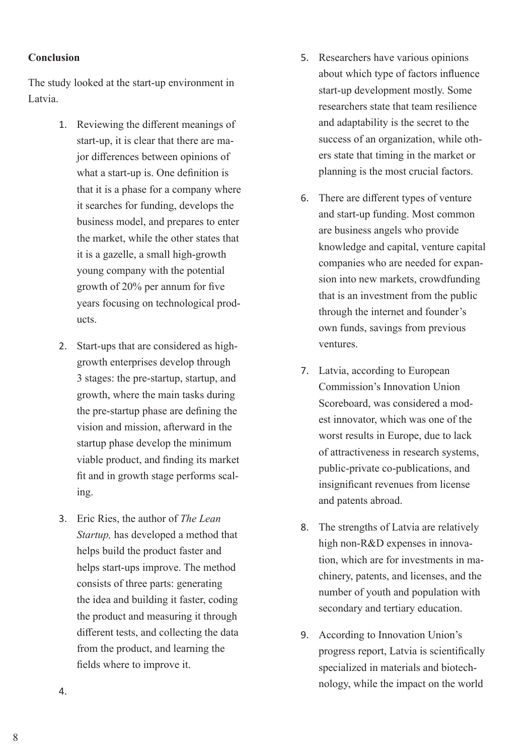# **Conclusion**

The study looked at the start-up environment in Latvia.

- 1. Reviewing the different meanings of start-up, it is clear that there are major differences between opinions of what a start-up is. One definition is that it is a phase for a company where it searches for funding, develops the business model, and prepares to enter the market, while the other states that it is a gazelle, a small high-growth young company with the potential growth of 20% per annum for five years focusing on technological products.
- 2. Start-ups that are considered as highgrowth enterprises develop through 3 stages: the pre-startup, startup, and growth, where the main tasks during the pre-startup phase are defining the vision and mission, afterward in the startup phase develop the minimum viable product, and finding its market fit and in growth stage performs scaling.
- 3. Eric Ries, the author of *The Lean Startup,* has developed a method that helps build the product faster and helps start-ups improve. The method consists of three parts: generating the idea and building it faster, coding the product and measuring it through different tests, and collecting the data from the product, and learning the fields where to improve it.
- 5. Researchers have various opinions about which type of factors influence start-up development mostly. Some researchers state that team resilience and adaptability is the secret to the success of an organization, while others state that timing in the market or planning is the most crucial factors.
- 6. There are different types of venture and start-up funding. Most common are business angels who provide knowledge and capital, venture capital companies who are needed for expansion into new markets, crowdfunding that is an investment from the public through the internet and founder's own funds, savings from previous ventures.
- 7. Latvia, according to European Commission's Innovation Union Scoreboard, was considered a modest innovator, which was one of the worst results in Europe, due to lack of attractiveness in research systems, public-private co-publications, and insignificant revenues from license and patents abroad.
- 8. The strengths of Latvia are relatively high non-R&D expenses in innovation, which are for investments in machinery, patents, and licenses, and the number of youth and population with secondary and tertiary education.
- 9. According to Innovation Union's progress report, Latvia is scientifically specialized in materials and biotechnology, while the impact on the world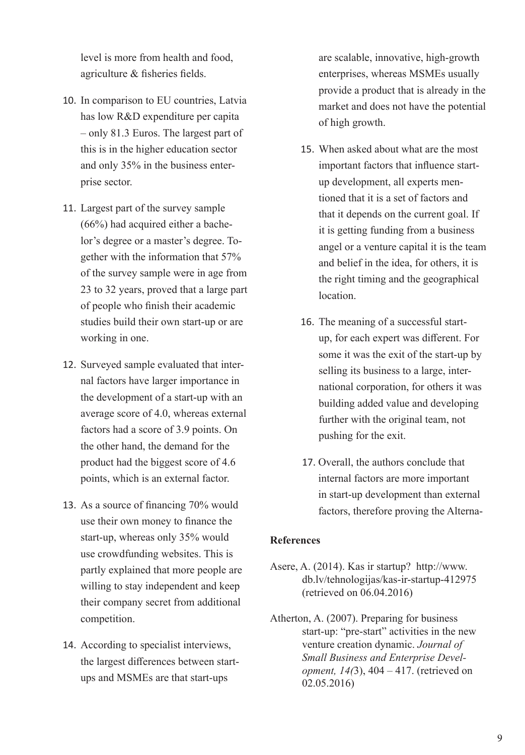level is more from health and food, agriculture & fisheries fields.

- 10. In comparison to EU countries, Latvia has low R&D expenditure per capita – only 81.3 Euros. The largest part of this is in the higher education sector and only 35% in the business enterprise sector.
- 11. Largest part of the survey sample (66%) had acquired either a bachelor's degree or a master's degree. Together with the information that 57% of the survey sample were in age from 23 to 32 years, proved that a large part of people who finish their academic studies build their own start-up or are working in one.
- 12. Surveyed sample evaluated that internal factors have larger importance in the development of a start-up with an average score of 4.0, whereas external factors had a score of 3.9 points. On the other hand, the demand for the product had the biggest score of 4.6 points, which is an external factor.
- 13. As a source of financing 70% would use their own money to finance the start-up, whereas only 35% would use crowdfunding websites. This is partly explained that more people are willing to stay independent and keep their company secret from additional competition.
- 14. According to specialist interviews, the largest differences between startups and MSMEs are that start-ups

are scalable, innovative, high-growth enterprises, whereas MSMEs usually provide a product that is already in the market and does not have the potential of high growth.

- 15. When asked about what are the most important factors that influence startup development, all experts mentioned that it is a set of factors and that it depends on the current goal. If it is getting funding from a business angel or a venture capital it is the team and belief in the idea, for others, it is the right timing and the geographical location.
- 16. The meaning of a successful startup, for each expert was different. For some it was the exit of the start-up by selling its business to a large, international corporation, for others it was building added value and developing further with the original team, not pushing for the exit.
- 17. Overall, the authors conclude that internal factors are more important in start-up development than external factors, therefore proving the Alterna-

# **References**

- Asere, A. (2014). Kas ir startup? http://www. db.lv/tehnologijas/kas-ir-startup-412975 (retrieved on 06.04.2016)
- Atherton, A. (2007). Preparing for business start-up: "pre-start" activities in the new venture creation dynamic. *Journal of Small Business and Enterprise Development, 14(*3), 404 – 417. (retrieved on 02.05.2016)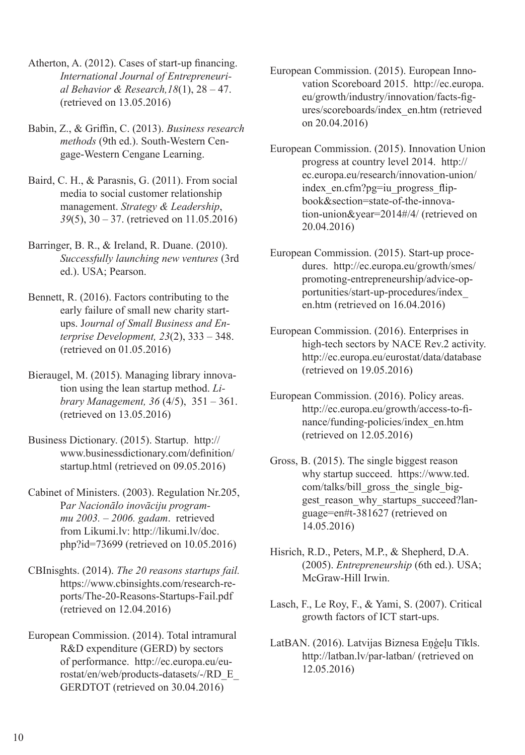- Atherton, A. (2012). Cases of start-up financing. *International Journal of Entrepreneurial Behavior & Research,18*(1), 28 – 47. (retrieved on 13.05.2016)
- Babin, Z., & Griffin, C. (2013). *Business research methods* (9th ed.). South-Western Cengage-Western Cengane Learning.
- Baird, C. H., & Parasnis, G. (2011). From social media to social customer relationship management. *Strategy & Leadership*, *39*(5), 30 – 37. (retrieved on 11.05.2016)
- Barringer, B. R., & Ireland, R. Duane. (2010). *Successfully launching new ventures* (3rd ed.). USA; Pearson.
- Bennett, R. (2016). Factors contributing to the early failure of small new charity startups. J*ournal of Small Business and Enterprise Development, 23*(2), 333 – 348. (retrieved on 01.05.2016)
- Bieraugel, M. (2015). Managing library innovation using the lean startup method. *Library Management, 36* (4/5), 351 – 361. (retrieved on 13.05.2016)
- Business Dictionary. (2015). Startup. http:// www.businessdictionary.com/definition/ startup.html (retrieved on 09.05.2016)
- Cabinet of Ministers. (2003). Regulation Nr.205, P*ar Nacionālo inovāciju programmu 2003. – 2006. gadam*. retrieved from Likumi.lv: http://likumi.lv/doc. php?id=73699 (retrieved on 10.05.2016)
- CBInisghts. (2014). *The 20 reasons startups fail.*  https://www.cbinsights.com/research-reports/The-20-Reasons-Startups-Fail.pdf (retrieved on 12.04.2016)
- European Commission. (2014). Total intramural R&D expenditure (GERD) by sectors of performance. http://ec.europa.eu/eurostat/en/web/products-datasets/-/RD\_E\_ GERDTOT (retrieved on 30.04.2016)
- European Commission. (2015). European Innovation Scoreboard 2015. http://ec.europa. eu/growth/industry/innovation/facts-figures/scoreboards/index\_en.htm (retrieved on 20.04.2016)
- European Commission. (2015). Innovation Union progress at country level 2014. http:// ec.europa.eu/research/innovation-union/ index en.cfm?pg=iu progress flipbook&section=state-of-the-innovation-union&year=2014#/4/ (retrieved on 20.04.2016)
- European Commission. (2015). Start-up procedures. http://ec.europa.eu/growth/smes/ promoting-entrepreneurship/advice-opportunities/start-up-procedures/index\_ en.htm (retrieved on 16.04.2016)
- European Commission. (2016). Enterprises in high-tech sectors by NACE Rev.2 activity. http://ec.europa.eu/eurostat/data/database (retrieved on 19.05.2016)
- European Commission. (2016). Policy areas. http://ec.europa.eu/growth/access-to-finance/funding-policies/index\_en.htm (retrieved on 12.05.2016)
- Gross, B. (2015). The single biggest reason why startup succeed. https://www.ted. com/talks/bill\_gross\_the\_single\_biggest reason why startups succeed?language=en#t-381627 (retrieved on 14.05.2016)
- Hisrich, R.D., Peters, M.P., & Shepherd, D.A. (2005). *Entrepreneurship* (6th ed.). USA; McGraw-Hill Irwin.
- Lasch, F., Le Roy, F., & Yami, S. (2007). Critical growth factors of ICT start-ups.
- LatBAN. (2016). Latvijas Biznesa Eņģeļu Tīkls. http://latban.lv/par-latban/ (retrieved on 12.05.2016)